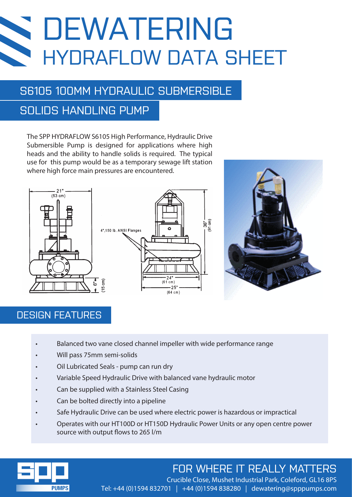# N. DEWATERING HYDRAFLOW DATA SHEET

## S6105 100MM HYDRAULIC SUBMERSIBLE

### SOLIDS HANDLING PUMP

The SPP HYDRAFLOW S6105 High Performance, Hydraulic Drive Submersible Pump is designed for applications where high heads and the ability to handle solids is required. The typical use for this pump would be as a temporary sewage lift station where high force main pressures are encountered.





#### DESIGN FEATURES

- Balanced two vane closed channel impeller with wide performance range
- Will pass 75mm semi-solids
- Oil Lubricated Seals pump can run dry
- Variable Speed Hydraulic Drive with balanced vane hydraulic motor
- Can be supplied with a Stainless Steel Casing
- Can be bolted directly into a pipeline
- Safe Hydraulic Drive can be used where electric power is hazardous or impractical
- Operates with our HT100D or HT150D Hydraulic Power Units or any open centre power source with output flows to 265 l/m



## FOR WHERE IT REALLY MATTERS

Crucible Close, Mushet Industrial Park, Coleford, GL16 8PS Tel: +44 (0)1594 832701 | +44 (0)1594 838280 | dewatering@spppumps.com